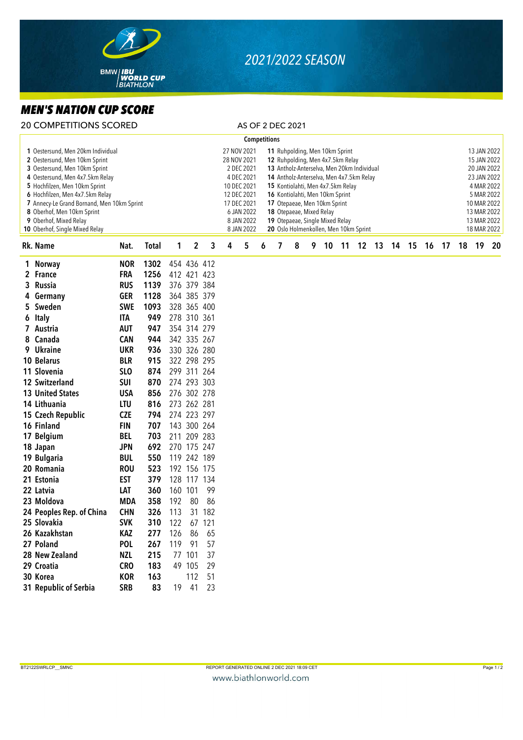

## *2021/2022 SEASON*

## $ME$

|                                                                                                                                                                                                                                                                                                                                                    | MEN'S NATION CUP SCORE                                                                       |                                                                                                |                                                    |                                           |                         |                                                                         |   |                                                                                                                                               |                     |                                                                                                                                                                                                                                                                                                                                                                              |   |    |  |  |  |                      |  |  |  |             |  |                                                                                                                                                  |  |  |  |
|----------------------------------------------------------------------------------------------------------------------------------------------------------------------------------------------------------------------------------------------------------------------------------------------------------------------------------------------------|----------------------------------------------------------------------------------------------|------------------------------------------------------------------------------------------------|----------------------------------------------------|-------------------------------------------|-------------------------|-------------------------------------------------------------------------|---|-----------------------------------------------------------------------------------------------------------------------------------------------|---------------------|------------------------------------------------------------------------------------------------------------------------------------------------------------------------------------------------------------------------------------------------------------------------------------------------------------------------------------------------------------------------------|---|----|--|--|--|----------------------|--|--|--|-------------|--|--------------------------------------------------------------------------------------------------------------------------------------------------|--|--|--|
|                                                                                                                                                                                                                                                                                                                                                    | <b>20 COMPETITIONS SCORED</b>                                                                |                                                                                                |                                                    |                                           |                         |                                                                         |   | AS OF 2 DEC 2021                                                                                                                              |                     |                                                                                                                                                                                                                                                                                                                                                                              |   |    |  |  |  |                      |  |  |  |             |  |                                                                                                                                                  |  |  |  |
|                                                                                                                                                                                                                                                                                                                                                    |                                                                                              |                                                                                                |                                                    |                                           |                         |                                                                         |   |                                                                                                                                               | <b>Competitions</b> |                                                                                                                                                                                                                                                                                                                                                                              |   |    |  |  |  |                      |  |  |  |             |  |                                                                                                                                                  |  |  |  |
| 1 Oestersund, Men 20km Individual<br>2 Oestersund, Men 10km Sprint<br>3 Oestersund, Men 10km Sprint<br>4 Oestersund, Men 4x7.5km Relay<br>5 Hochfilzen, Men 10km Sprint<br>6 Hochfilzen, Men 4x7.5km Relay<br>7 Annecy-Le Grand Bornand, Men 10km Sprint<br>8 Oberhof, Men 10km Sprint<br>9 Oberhof, Mixed Relay<br>10 Oberhof, Single Mixed Relay |                                                                                              |                                                                                                |                                                    |                                           |                         |                                                                         |   | 27 NOV 2021<br>28 NOV 2021<br>2 DEC 2021<br>4 DEC 2021<br>10 DEC 2021<br>12 DEC 2021<br>17 DEC 2021<br>6 JAN 2022<br>8 JAN 2022<br>8 JAN 2022 |                     | 11 Ruhpolding, Men 10km Sprint<br>12 Ruhpolding, Men 4x7.5km Relay<br>13 Antholz-Anterselva, Men 20km Individual<br>14 Antholz-Anterselva, Men 4x7.5km Relay<br>15 Kontiolahti, Men 4x7.5km Relay<br>16 Kontiolahti, Men 10km Sprint<br>17 Otepaeae, Men 10km Sprint<br>18 Otepaeae, Mixed Relay<br>19 Otepaeae, Single Mixed Relay<br>20 Oslo Holmenkollen, Men 10km Sprint |   |    |  |  |  |                      |  |  |  |             |  | 13 JAN 2022<br>15 JAN 2022<br>20 JAN 2022<br>23 JAN 2022<br>4 MAR 2022<br>5 MAR 2022<br>10 MAR 2022<br>13 MAR 2022<br>13 MAR 2022<br>18 MAR 2022 |  |  |  |
|                                                                                                                                                                                                                                                                                                                                                    | Rk. Name                                                                                     | Nat.                                                                                           | <b>Total</b>                                       | 1                                         | $\overline{\mathbf{c}}$ | 3                                                                       | 4 | 5                                                                                                                                             | 6                   | 7                                                                                                                                                                                                                                                                                                                                                                            | 8 | 9. |  |  |  | 10 11 12 13 14 15 16 |  |  |  | 17 18 19 20 |  |                                                                                                                                                  |  |  |  |
| 3<br>4<br>5.                                                                                                                                                                                                                                                                                                                                       | 1 Norway<br>2 France<br>Russia<br>Germany<br>Sweden<br>6 Italy<br>7 Austria                  | <b>NOR</b><br><b>FRA</b><br><b>RUS</b><br><b>GER</b><br><b>SWE</b><br><b>ITA</b><br><b>AUT</b> | 1302<br>1256<br>1139<br>1128<br>1093<br>949<br>947 | 412 421 423<br>278 310 361                |                         | 454 436 412<br>376 379 384<br>364 385 379<br>328 365 400<br>354 314 279 |   |                                                                                                                                               |                     |                                                                                                                                                                                                                                                                                                                                                                              |   |    |  |  |  |                      |  |  |  |             |  |                                                                                                                                                  |  |  |  |
|                                                                                                                                                                                                                                                                                                                                                    | 8 Canada<br>9 Ukraine<br>10 Belarus<br>11 Slovenia                                           | <b>CAN</b><br><b>UKR</b><br><b>BLR</b><br>SL <sub>O</sub>                                      | 944<br>936<br>915<br>874                           |                                           |                         | 342 335 267<br>330 326 280<br>322 298 295<br>299 311 264                |   |                                                                                                                                               |                     |                                                                                                                                                                                                                                                                                                                                                                              |   |    |  |  |  |                      |  |  |  |             |  |                                                                                                                                                  |  |  |  |
|                                                                                                                                                                                                                                                                                                                                                    | 12 Switzerland<br><b>13 United States</b><br>14 Lithuania<br>15 Czech Republic<br>16 Finland | <b>SUI</b><br>USA<br><b>LTU</b><br><b>CZE</b><br><b>FIN</b>                                    | 870<br>856<br>816<br>794<br>707                    | 273 262 281<br>274 223 297<br>143 300 264 |                         | 274 293 303<br>276 302 278                                              |   |                                                                                                                                               |                     |                                                                                                                                                                                                                                                                                                                                                                              |   |    |  |  |  |                      |  |  |  |             |  |                                                                                                                                                  |  |  |  |
|                                                                                                                                                                                                                                                                                                                                                    | 17 Belgium<br>18 Japan<br>19 Bulgaria<br>20 Romania                                          | <b>BEL</b><br><b>JPN</b><br><b>BUL</b><br><b>ROU</b>                                           | 703<br>692<br>550<br>523                           | 270 175 247                               |                         | 211 209 283<br>119 242 189<br>192 156 175                               |   |                                                                                                                                               |                     |                                                                                                                                                                                                                                                                                                                                                                              |   |    |  |  |  |                      |  |  |  |             |  |                                                                                                                                                  |  |  |  |
|                                                                                                                                                                                                                                                                                                                                                    | 21 Estonia<br>22 Latvia<br>23 Moldova<br>24 Peoples Rep. of China                            | EST<br>LAT<br><b>MDA</b><br><b>CHN</b>                                                         | 379<br>360<br>358<br>326                           | 160 101<br>192<br>113                     | 80                      | 128 117 134<br>99<br>86<br>31 182                                       |   |                                                                                                                                               |                     |                                                                                                                                                                                                                                                                                                                                                                              |   |    |  |  |  |                      |  |  |  |             |  |                                                                                                                                                  |  |  |  |
|                                                                                                                                                                                                                                                                                                                                                    | 25 Slovakia<br>26 Kazakhstan<br>27 Poland<br>28 New Zealand                                  | <b>SVK</b><br><b>KAZ</b><br><b>POL</b><br><b>NZL</b>                                           | 310<br>277<br>267<br>215                           | 122<br>126<br>119                         | 86<br>91<br>77 101      | 67 121<br>65<br>57<br>37                                                |   |                                                                                                                                               |                     |                                                                                                                                                                                                                                                                                                                                                                              |   |    |  |  |  |                      |  |  |  |             |  |                                                                                                                                                  |  |  |  |

29 Croatia CRO 183 49 105 29 30 Korea KOR 163 112 51 31 Republic of Serbia SRB 83 19 41 23